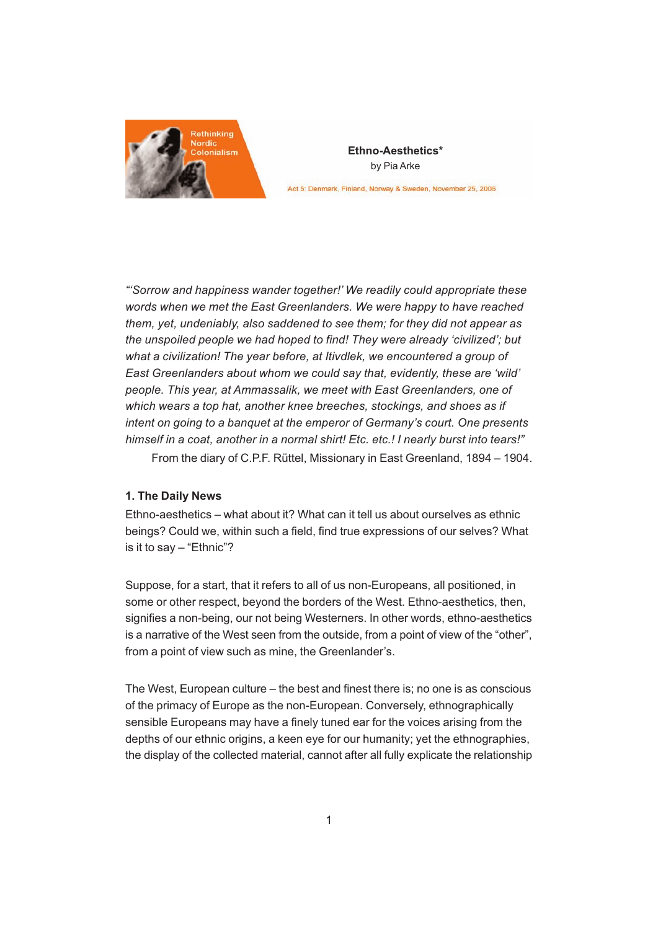

**Ethno-Aesthetics\*** by Pia Arke

Act 5: Denmark, Finland, Norway & Sweden, November 25, 2006

"'Sorrow and happiness wander together!' We readily could appropriate these words when we met the East Greenlanders. We were happy to have reached them, yet, undeniably, also saddened to see them; for they did not appear as the unspoiled people we had hoped to find! They were already 'civilized'; but what a civilization! The year before, at Itivdlek, we encountered a group of East Greenlanders about whom we could say that, evidently, these are 'wild' people. This year, at Ammassalik, we meet with East Greenlanders, one of which wears a top hat, another knee breeches, stockings, and shoes as if intent on going to a banquet at the emperor of Germany's court. One presents himself in a coat, another in a normal shirt! Etc. etc.! I nearly burst into tears!"

From the diary of C.P.F. Rüttel, Missionary in East Greenland, 1894 – 1904.

### **1. The Daily News**

Ethno-aesthetics – what about it? What can it tell us about ourselves as ethnic beings? Could we, within such a field, find true expressions of our selves? What is it to say – "Ethnic"?

Suppose, for a start, that it refers to all of us non-Europeans, all positioned, in some or other respect, beyond the borders of the West. Ethno-aesthetics, then, signifies a non-being, our not being Westerners. In other words, ethno-aesthetics is a narrative of the West seen from the outside, from a point of view of the "other", from a point of view such as mine, the Greenlander's.

The West, European culture – the best and finest there is; no one is as conscious of the primacy of Europe as the non-European. Conversely, ethnographically sensible Europeans may have a finely tuned ear for the voices arising from the depths of our ethnic origins, a keen eye for our humanity; yet the ethnographies, the display of the collected material, cannot after all fully explicate the relationship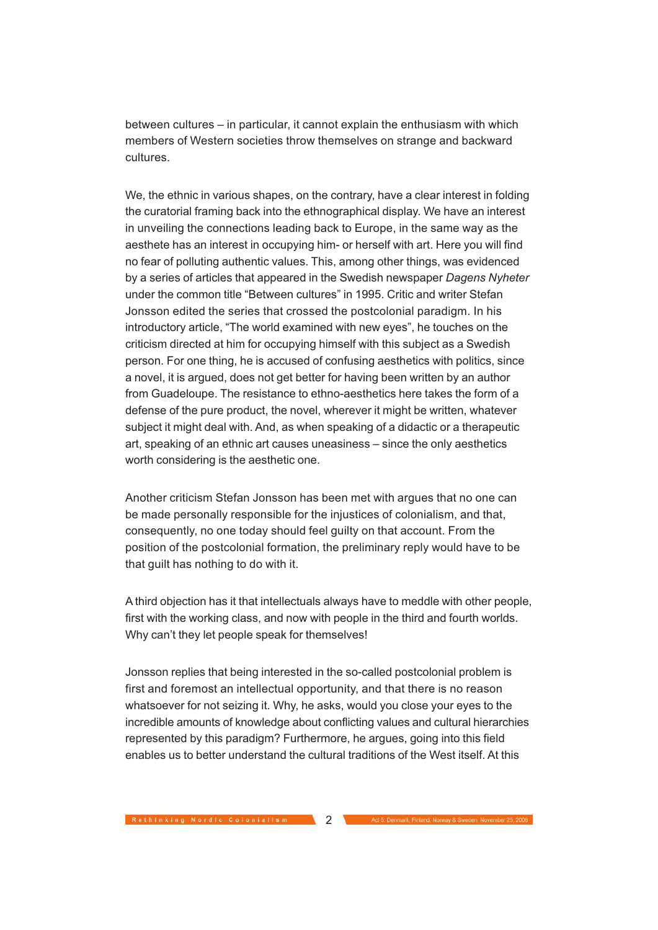between cultures – in particular, it cannot explain the enthusiasm with which members of Western societies throw themselves on strange and backward cultures.

We, the ethnic in various shapes, on the contrary, have a clear interest in folding the curatorial framing back into the ethnographical display. We have an interest in unveiling the connections leading back to Europe, in the same way as the aesthete has an interest in occupying him- or herself with art. Here you will find no fear of polluting authentic values. This, among other things, was evidenced by a series of articles that appeared in the Swedish newspaper Dagens Nyheter under the common title "Between cultures" in 1995. Critic and writer Stefan Jonsson edited the series that crossed the postcolonial paradigm. In his introductory article, "The world examined with new eyes", he touches on the criticism directed at him for occupying himself with this subject as a Swedish person. For one thing, he is accused of confusing aesthetics with politics, since a novel, it is argued, does not get better for having been written by an author from Guadeloupe. The resistance to ethno-aesthetics here takes the form of a defense of the pure product, the novel, wherever it might be written, whatever subject it might deal with. And, as when speaking of a didactic or a therapeutic art, speaking of an ethnic art causes uneasiness – since the only aesthetics worth considering is the aesthetic one.

Another criticism Stefan Jonsson has been met with argues that no one can be made personally responsible for the injustices of colonialism, and that, consequently, no one today should feel guilty on that account. From the position of the postcolonial formation, the preliminary reply would have to be that guilt has nothing to do with it.

A third objection has it that intellectuals always have to meddle with other people, first with the working class, and now with people in the third and fourth worlds. Why can't they let people speak for themselves!

Jonsson replies that being interested in the so-called postcolonial problem is first and foremost an intellectual opportunity, and that there is no reason whatsoever for not seizing it. Why, he asks, would you close your eyes to the incredible amounts of knowledge about conflicting values and cultural hierarchies represented by this paradigm? Furthermore, he argues, going into this field enables us to better understand the cultural traditions of the West itself. At this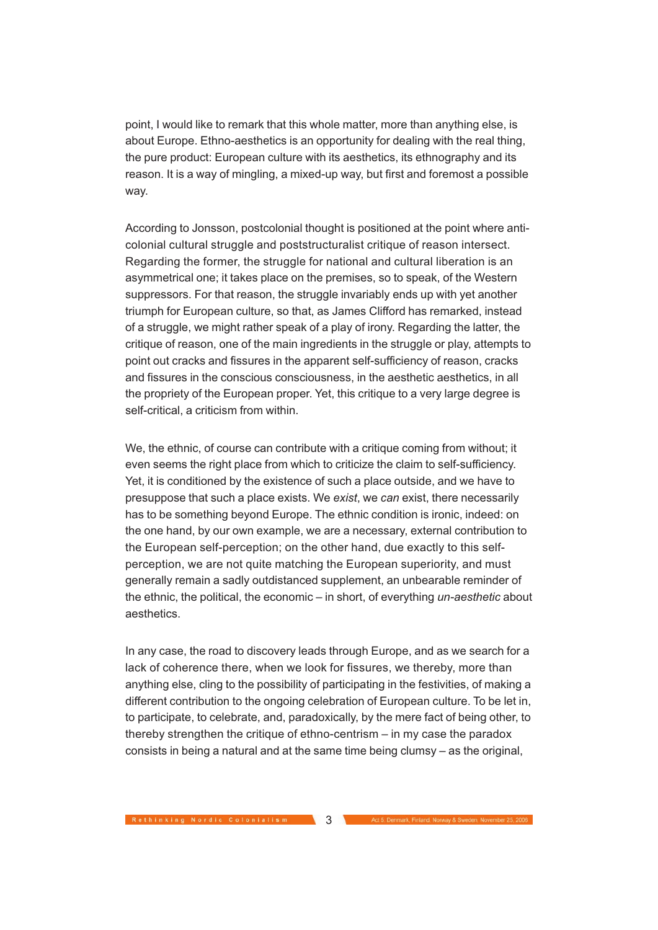point, I would like to remark that this whole matter, more than anything else, is about Europe. Ethno-aesthetics is an opportunity for dealing with the real thing, the pure product: European culture with its aesthetics, its ethnography and its reason. It is a way of mingling, a mixed-up way, but first and foremost a possible way.

According to Jonsson, postcolonial thought is positioned at the point where anticolonial cultural struggle and poststructuralist critique of reason intersect. Regarding the former, the struggle for national and cultural liberation is an asymmetrical one; it takes place on the premises, so to speak, of the Western suppressors. For that reason, the struggle invariably ends up with yet another triumph for European culture, so that, as James Clifford has remarked, instead of a struggle, we might rather speak of a play of irony. Regarding the latter, the critique of reason, one of the main ingredients in the struggle or play, attempts to point out cracks and fissures in the apparent self-sufficiency of reason, cracks and fissures in the conscious consciousness, in the aesthetic aesthetics, in all the propriety of the European proper. Yet, this critique to a very large degree is self-critical, a criticism from within.

We, the ethnic, of course can contribute with a critique coming from without; it even seems the right place from which to criticize the claim to self-sufficiency. Yet, it is conditioned by the existence of such a place outside, and we have to presuppose that such a place exists. We exist, we can exist, there necessarily has to be something beyond Europe. The ethnic condition is ironic, indeed: on the one hand, by our own example, we are a necessary, external contribution to the European self-perception; on the other hand, due exactly to this selfperception, we are not quite matching the European superiority, and must generally remain a sadly outdistanced supplement, an unbearable reminder of the ethnic, the political, the economic – in short, of everything un-aesthetic about aesthetics.

In any case, the road to discovery leads through Europe, and as we search for a lack of coherence there, when we look for fissures, we thereby, more than anything else, cling to the possibility of participating in the festivities, of making a different contribution to the ongoing celebration of European culture. To be let in, to participate, to celebrate, and, paradoxically, by the mere fact of being other, to thereby strengthen the critique of ethno-centrism – in my case the paradox consists in being a natural and at the same time being clumsy – as the original,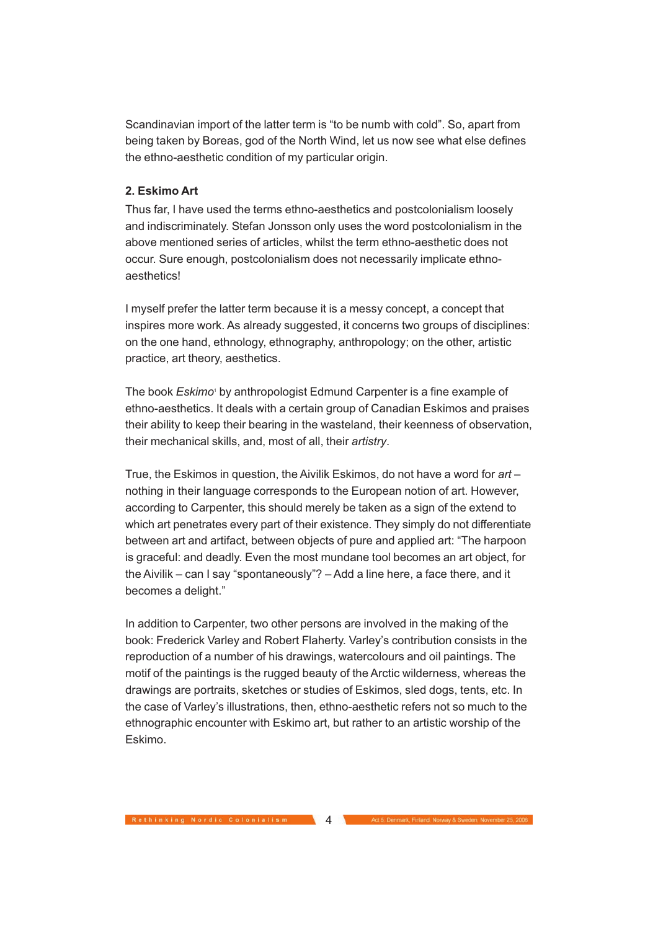Scandinavian import of the latter term is "to be numb with cold". So, apart from being taken by Boreas, god of the North Wind, let us now see what else defines the ethno-aesthetic condition of my particular origin.

# **2. Eskimo Art**

Thus far, I have used the terms ethno-aesthetics and postcolonialism loosely and indiscriminately. Stefan Jonsson only uses the word postcolonialism in the above mentioned series of articles, whilst the term ethno-aesthetic does not occur. Sure enough, postcolonialism does not necessarily implicate ethnoaesthetics!

I myself prefer the latter term because it is a messy concept, a concept that inspires more work. As already suggested, it concerns two groups of disciplines: on the one hand, ethnology, ethnography, anthropology; on the other, artistic practice, art theory, aesthetics.

The book Eskimo<sup>1</sup> by anthropologist Edmund Carpenter is a fine example of ethno-aesthetics. It deals with a certain group of Canadian Eskimos and praises their ability to keep their bearing in the wasteland, their keenness of observation, their mechanical skills, and, most of all, their artistry.

True, the Eskimos in question, the Aivilik Eskimos, do not have a word for  $art$ nothing in their language corresponds to the European notion of art. However, according to Carpenter, this should merely be taken as a sign of the extend to which art penetrates every part of their existence. They simply do not differentiate between art and artifact, between objects of pure and applied art: "The harpoon is graceful: and deadly. Even the most mundane tool becomes an art object, for the Aivilik – can I say "spontaneously"? – Add a line here, a face there, and it becomes a delight."

In addition to Carpenter, two other persons are involved in the making of the book: Frederick Varley and Robert Flaherty. Varley's contribution consists in the reproduction of a number of his drawings, watercolours and oil paintings. The motif of the paintings is the rugged beauty of the Arctic wilderness, whereas the drawings are portraits, sketches or studies of Eskimos, sled dogs, tents, etc. In the case of Varley's illustrations, then, ethno-aesthetic refers not so much to the ethnographic encounter with Eskimo art, but rather to an artistic worship of the Eskimo.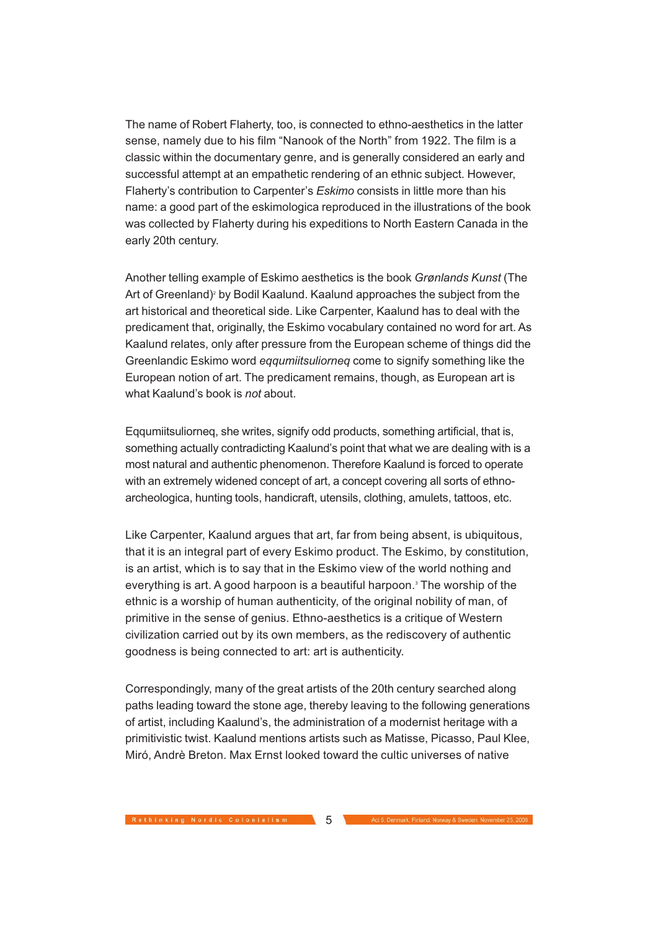The name of Robert Flaherty, too, is connected to ethno-aesthetics in the latter sense, namely due to his film "Nanook of the North" from 1922. The film is a classic within the documentary genre, and is generally considered an early and successful attempt at an empathetic rendering of an ethnic subject. However, Flaherty's contribution to Carpenter's Eskimo consists in little more than his name: a good part of the eskimologica reproduced in the illustrations of the book was collected by Flaherty during his expeditions to North Eastern Canada in the early 20th century.

Another telling example of Eskimo aesthetics is the book Grønlands Kunst (The Art of Greenland)<sup>2</sup> by Bodil Kaalund. Kaalund approaches the subject from the art historical and theoretical side. Like Carpenter, Kaalund has to deal with the predicament that, originally, the Eskimo vocabulary contained no word for art. As Kaalund relates, only after pressure from the European scheme of things did the Greenlandic Eskimo word eqqumiitsuliorneq come to signify something like the European notion of art. The predicament remains, though, as European art is what Kaalund's book is not about.

Eqqumiitsuliorneq, she writes, signify odd products, something artificial, that is, something actually contradicting Kaalund's point that what we are dealing with is a most natural and authentic phenomenon. Therefore Kaalund is forced to operate with an extremely widened concept of art, a concept covering all sorts of ethnoarcheologica, hunting tools, handicraft, utensils, clothing, amulets, tattoos, etc.

Like Carpenter, Kaalund argues that art, far from being absent, is ubiquitous, that it is an integral part of every Eskimo product. The Eskimo, by constitution, is an artist, which is to say that in the Eskimo view of the world nothing and everything is art. A good harpoon is a beautiful harpoon.<sup>3</sup> The worship of the ethnic is a worship of human authenticity, of the original nobility of man, of primitive in the sense of genius. Ethno-aesthetics is a critique of Western civilization carried out by its own members, as the rediscovery of authentic goodness is being connected to art: art is authenticity.

Correspondingly, many of the great artists of the 20th century searched along paths leading toward the stone age, thereby leaving to the following generations of artist, including Kaalund's, the administration of a modernist heritage with a primitivistic twist. Kaalund mentions artists such as Matisse, Picasso, Paul Klee, Miró, Andrè Breton. Max Ernst looked toward the cultic universes of native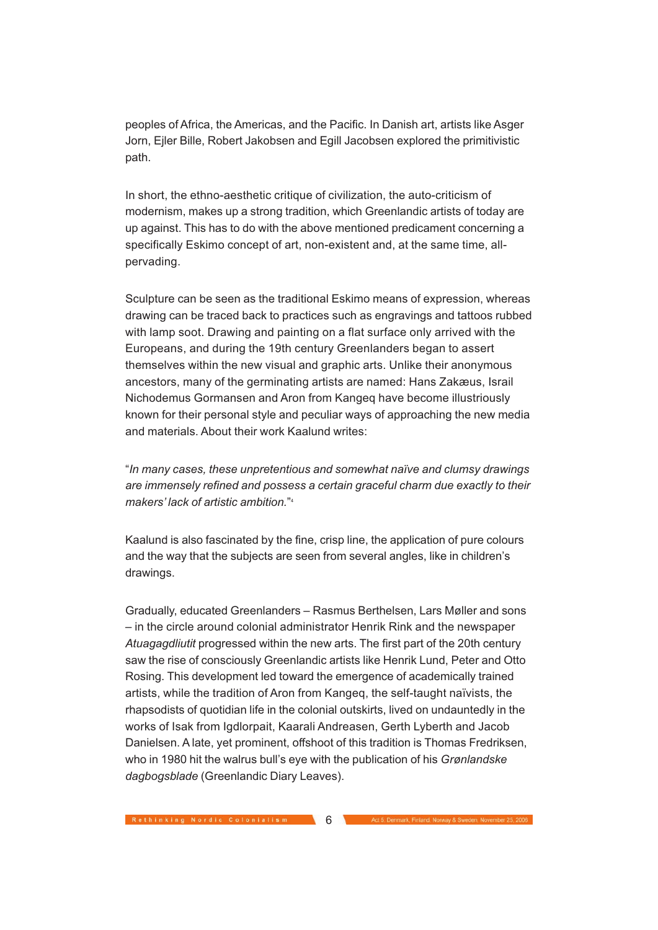peoples of Africa, the Americas, and the Pacific. In Danish art, artists like Asger Jorn, Ejler Bille, Robert Jakobsen and Egill Jacobsen explored the primitivistic path.

In short, the ethno-aesthetic critique of civilization, the auto-criticism of modernism, makes up a strong tradition, which Greenlandic artists of today are up against. This has to do with the above mentioned predicament concerning a specifically Eskimo concept of art, non-existent and, at the same time, allpervading.

Sculpture can be seen as the traditional Eskimo means of expression, whereas drawing can be traced back to practices such as engravings and tattoos rubbed with lamp soot. Drawing and painting on a flat surface only arrived with the Europeans, and during the 19th century Greenlanders began to assert themselves within the new visual and graphic arts. Unlike their anonymous ancestors, many of the germinating artists are named: Hans Zakæus, Israil Nichodemus Gormansen and Aron from Kangeq have become illustriously known for their personal style and peculiar ways of approaching the new media and materials. About their work Kaalund writes:

"In many cases, these unpretentious and somewhat naïve and clumsy drawings are immensely refined and possess a certain graceful charm due exactly to their makers' lack of artistic ambition."4

Kaalund is also fascinated by the fine, crisp line, the application of pure colours and the way that the subjects are seen from several angles, like in children's drawings.

Gradually, educated Greenlanders – Rasmus Berthelsen, Lars Møller and sons – in the circle around colonial administrator Henrik Rink and the newspaper Atuagagdliutit progressed within the new arts. The first part of the 20th century saw the rise of consciously Greenlandic artists like Henrik Lund, Peter and Otto Rosing. This development led toward the emergence of academically trained artists, while the tradition of Aron from Kangeq, the self-taught naïvists, the rhapsodists of quotidian life in the colonial outskirts, lived on undauntedly in the works of Isak from Igdlorpait, Kaarali Andreasen, Gerth Lyberth and Jacob Danielsen. A late, yet prominent, offshoot of this tradition is Thomas Fredriksen, who in 1980 hit the walrus bull's eye with the publication of his Grønlandske dagbogsblade (Greenlandic Diary Leaves).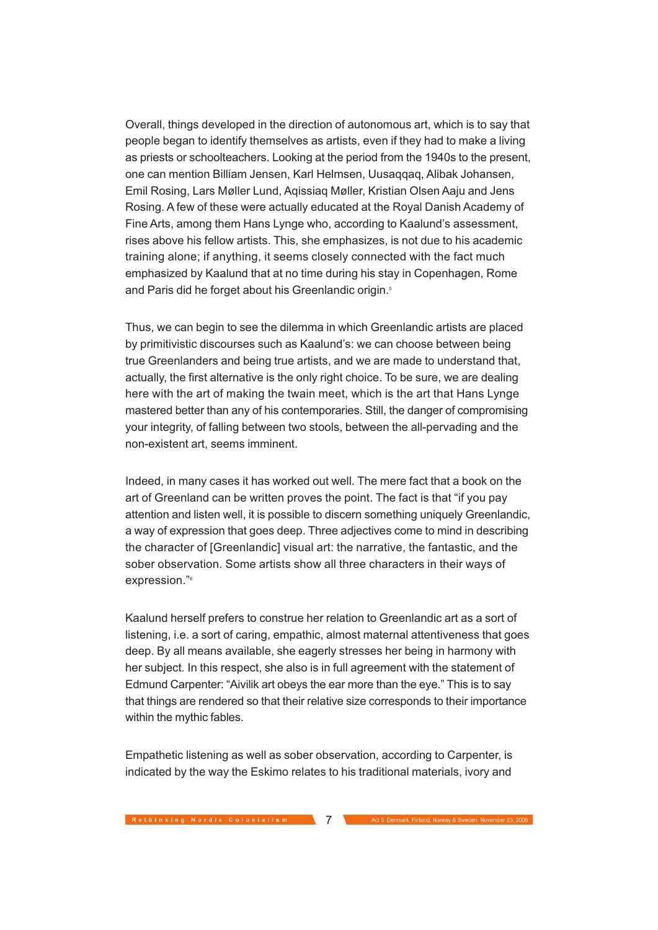Overall, things developed in the direction of autonomous art, which is to say that people began to identify themselves as artists, even if they had to make a living as priests or schoolteachers. Looking at the period from the 1940s to the present, one can mention Billiam Jensen, Karl Helmsen, Uusaqqaq, Alibak Johansen, Emil Rosing, Lars Møller Lund, Aqissiaq Møller, Kristian Olsen Aaju and Jens Rosing. A few of these were actually educated at the Royal Danish Academy of Fine Arts, among them Hans Lynge who, according to Kaalund's assessment, rises above his fellow artists. This, she emphasizes, is not due to his academic training alone; if anything, it seems closely connected with the fact much emphasized by Kaalund that at no time during his stay in Copenhagen, Rome and Paris did he forget about his Greenlandic origin.<sup>5</sup>

Thus, we can begin to see the dilemma in which Greenlandic artists are placed by primitivistic discourses such as Kaalund's: we can choose between being true Greenlanders and being true artists, and we are made to understand that, actually, the first alternative is the only right choice. To be sure, we are dealing here with the art of making the twain meet, which is the art that Hans Lynge mastered better than any of his contemporaries. Still, the danger of compromising your integrity, of falling between two stools, between the all-pervading and the non-existent art, seems imminent.

Indeed, in many cases it has worked out well. The mere fact that a book on the art of Greenland can be written proves the point. The fact is that "if you pay attention and listen well, it is possible to discern something uniquely Greenlandic, a way of expression that goes deep. Three adjectives come to mind in describing the character of [Greenlandic] visual art: the narrative, the fantastic, and the sober observation. Some artists show all three characters in their ways of expression."6

Kaalund herself prefers to construe her relation to Greenlandic art as a sort of listening, i.e. a sort of caring, empathic, almost maternal attentiveness that goes deep. By all means available, she eagerly stresses her being in harmony with her subject. In this respect, she also is in full agreement with the statement of Edmund Carpenter: "Aivilik art obeys the ear more than the eye." This is to say that things are rendered so that their relative size corresponds to their importance within the mythic fables.

Empathetic listening as well as sober observation, according to Carpenter, is indicated by the way the Eskimo relates to his traditional materials, ivory and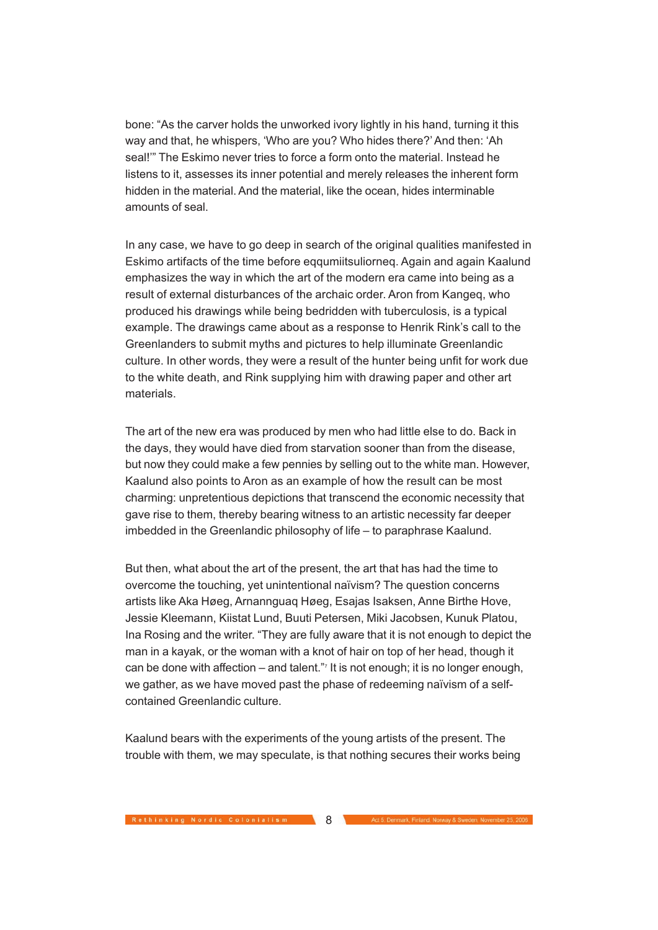bone: "As the carver holds the unworked ivory lightly in his hand, turning it this way and that, he whispers, 'Who are you? Who hides there?' And then: 'Ah seal!'" The Eskimo never tries to force a form onto the material. Instead he listens to it, assesses its inner potential and merely releases the inherent form hidden in the material. And the material, like the ocean, hides interminable amounts of seal.

In any case, we have to go deep in search of the original qualities manifested in Eskimo artifacts of the time before eqqumiitsuliorneq. Again and again Kaalund emphasizes the way in which the art of the modern era came into being as a result of external disturbances of the archaic order. Aron from Kangeq, who produced his drawings while being bedridden with tuberculosis, is a typical example. The drawings came about as a response to Henrik Rink's call to the Greenlanders to submit myths and pictures to help illuminate Greenlandic culture. In other words, they were a result of the hunter being unfit for work due to the white death, and Rink supplying him with drawing paper and other art materials.

The art of the new era was produced by men who had little else to do. Back in the days, they would have died from starvation sooner than from the disease, but now they could make a few pennies by selling out to the white man. However, Kaalund also points to Aron as an example of how the result can be most charming: unpretentious depictions that transcend the economic necessity that gave rise to them, thereby bearing witness to an artistic necessity far deeper imbedded in the Greenlandic philosophy of life – to paraphrase Kaalund.

But then, what about the art of the present, the art that has had the time to overcome the touching, yet unintentional naïvism? The question concerns artists like Aka Høeg, Arnannguaq Høeg, Esajas Isaksen, Anne Birthe Hove, Jessie Kleemann, Kiistat Lund, Buuti Petersen, Miki Jacobsen, Kunuk Platou, Ina Rosing and the writer. "They are fully aware that it is not enough to depict the man in a kayak, or the woman with a knot of hair on top of her head, though it can be done with affection – and talent."<sup>7</sup> It is not enough; it is no longer enough, we gather, as we have moved past the phase of redeeming naïvism of a selfcontained Greenlandic culture.

Kaalund bears with the experiments of the young artists of the present. The trouble with them, we may speculate, is that nothing secures their works being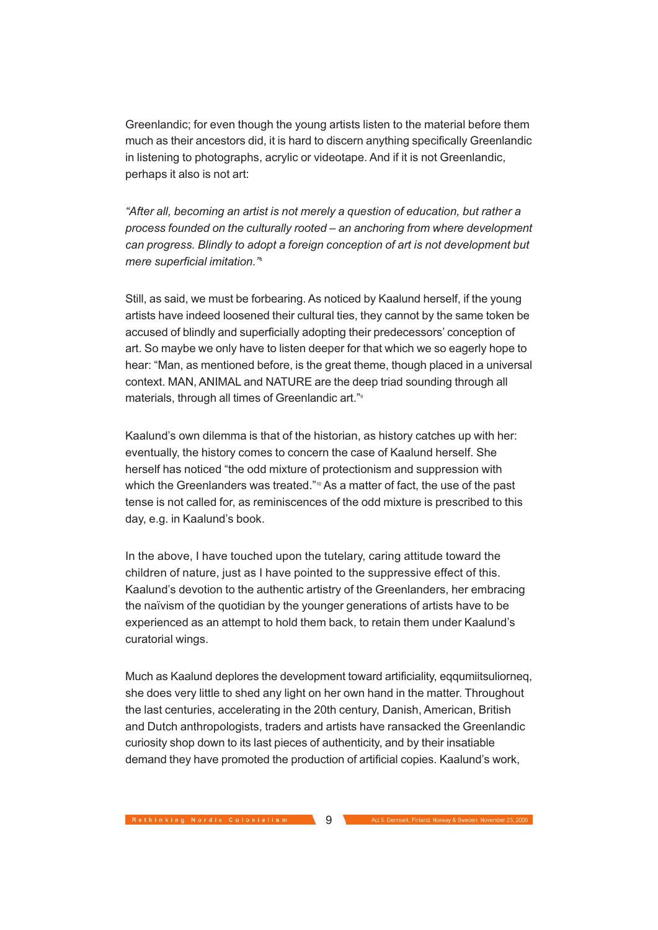Greenlandic; for even though the young artists listen to the material before them much as their ancestors did, it is hard to discern anything specifically Greenlandic in listening to photographs, acrylic or videotape. And if it is not Greenlandic, perhaps it also is not art:

"After all, becoming an artist is not merely a question of education, but rather a process founded on the culturally rooted – an anchoring from where development can progress. Blindly to adopt a foreign conception of art is not development but mere superficial imitation."<sup>8</sup>

Still, as said, we must be forbearing. As noticed by Kaalund herself, if the young artists have indeed loosened their cultural ties, they cannot by the same token be accused of blindly and superficially adopting their predecessors' conception of art. So maybe we only have to listen deeper for that which we so eagerly hope to hear: "Man, as mentioned before, is the great theme, though placed in a universal context. MAN, ANIMAL and NATURE are the deep triad sounding through all materials, through all times of Greenlandic art."<sup>9</sup>

Kaalund's own dilemma is that of the historian, as history catches up with her: eventually, the history comes to concern the case of Kaalund herself. She herself has noticed "the odd mixture of protectionism and suppression with which the Greenlanders was treated."<sup>10</sup> As a matter of fact, the use of the past tense is not called for, as reminiscences of the odd mixture is prescribed to this day, e.g. in Kaalund's book.

In the above, I have touched upon the tutelary, caring attitude toward the children of nature, just as I have pointed to the suppressive effect of this. Kaalund's devotion to the authentic artistry of the Greenlanders, her embracing the naïvism of the quotidian by the younger generations of artists have to be experienced as an attempt to hold them back, to retain them under Kaalund's curatorial wings.

Much as Kaalund deplores the development toward artificiality, eqqumiitsuliorneq, she does very little to shed any light on her own hand in the matter. Throughout the last centuries, accelerating in the 20th century, Danish, American, British and Dutch anthropologists, traders and artists have ransacked the Greenlandic curiosity shop down to its last pieces of authenticity, and by their insatiable demand they have promoted the production of artificial copies. Kaalund's work,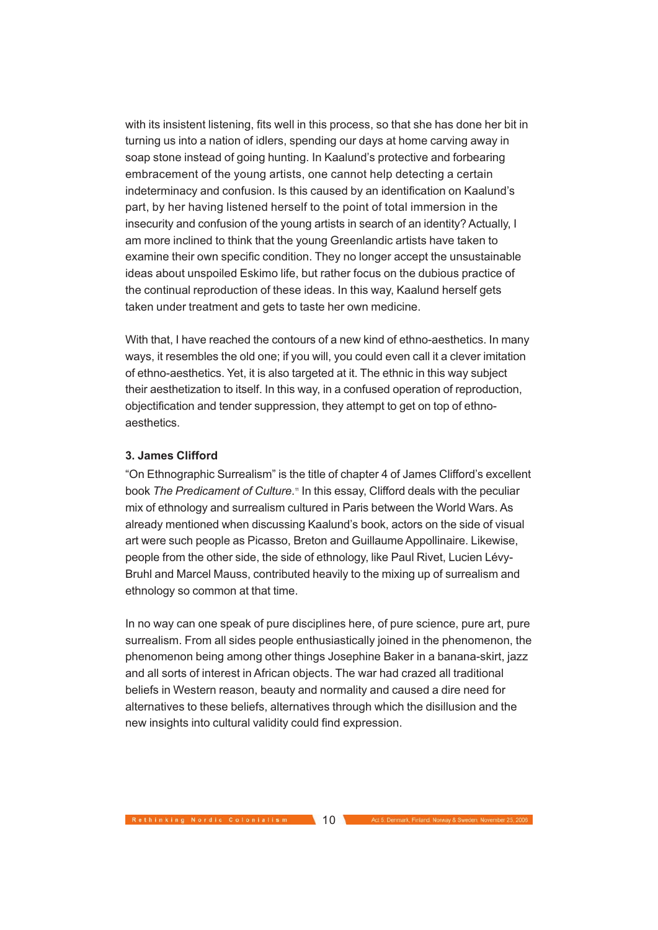with its insistent listening, fits well in this process, so that she has done her bit in turning us into a nation of idlers, spending our days at home carving away in soap stone instead of going hunting. In Kaalund's protective and forbearing embracement of the young artists, one cannot help detecting a certain indeterminacy and confusion. Is this caused by an identification on Kaalund's part, by her having listened herself to the point of total immersion in the insecurity and confusion of the young artists in search of an identity? Actually, I am more inclined to think that the young Greenlandic artists have taken to examine their own specific condition. They no longer accept the unsustainable ideas about unspoiled Eskimo life, but rather focus on the dubious practice of the continual reproduction of these ideas. In this way, Kaalund herself gets taken under treatment and gets to taste her own medicine.

With that, I have reached the contours of a new kind of ethno-aesthetics. In many ways, it resembles the old one; if you will, you could even call it a clever imitation of ethno-aesthetics. Yet, it is also targeted at it. The ethnic in this way subject their aesthetization to itself. In this way, in a confused operation of reproduction, objectification and tender suppression, they attempt to get on top of ethnoaesthetics.

### **3. James Clifford**

"On Ethnographic Surrealism" is the title of chapter 4 of James Clifford's excellent book The Predicament of Culture.<sup>®</sup> In this essay, Clifford deals with the peculiar mix of ethnology and surrealism cultured in Paris between the World Wars. As already mentioned when discussing Kaalund's book, actors on the side of visual art were such people as Picasso, Breton and Guillaume Appollinaire. Likewise, people from the other side, the side of ethnology, like Paul Rivet, Lucien Lévy-Bruhl and Marcel Mauss, contributed heavily to the mixing up of surrealism and ethnology so common at that time.

In no way can one speak of pure disciplines here, of pure science, pure art, pure surrealism. From all sides people enthusiastically joined in the phenomenon, the phenomenon being among other things Josephine Baker in a banana-skirt, jazz and all sorts of interest in African objects. The war had crazed all traditional beliefs in Western reason, beauty and normality and caused a dire need for alternatives to these beliefs, alternatives through which the disillusion and the new insights into cultural validity could find expression.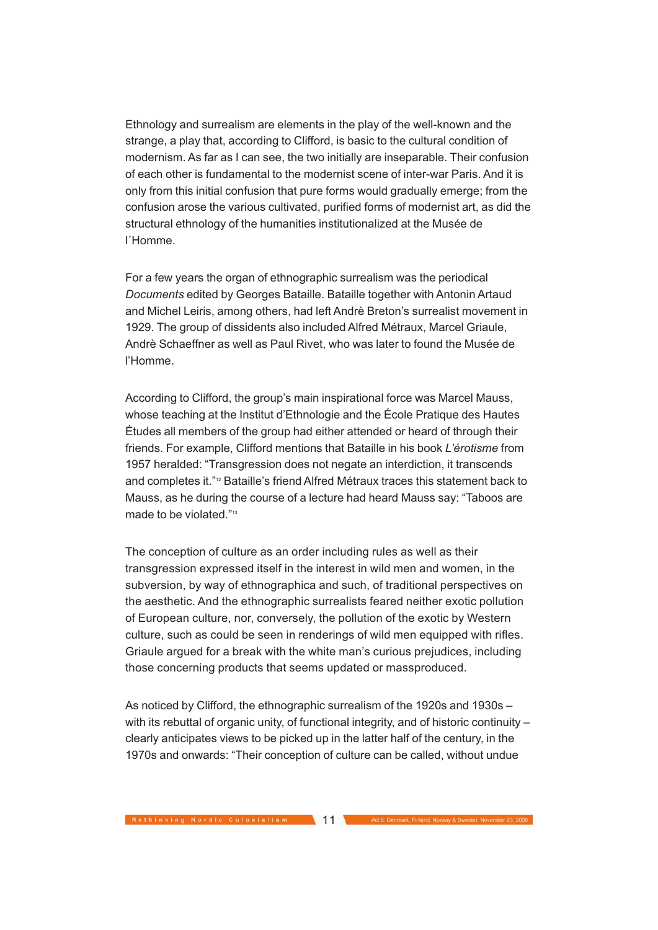Ethnology and surrealism are elements in the play of the well-known and the strange, a play that, according to Clifford, is basic to the cultural condition of modernism. As far as I can see, the two initially are inseparable. Their confusion of each other is fundamental to the modernist scene of inter-war Paris. And it is only from this initial confusion that pure forms would gradually emerge; from the confusion arose the various cultivated, purified forms of modernist art, as did the structural ethnology of the humanities institutionalized at the Musée de l´Homme.

For a few years the organ of ethnographic surrealism was the periodical Documents edited by Georges Bataille. Bataille together with Antonin Artaud and Michel Leiris, among others, had left Andrè Breton's surrealist movement in 1929. The group of dissidents also included Alfred Métraux, Marcel Griaule, Andrè Schaeffner as well as Paul Rivet, who was later to found the Musée de l'Homme.

According to Clifford, the group's main inspirational force was Marcel Mauss, whose teaching at the Institut d'Ethnologie and the École Pratique des Hautes Études all members of the group had either attended or heard of through their friends. For example, Clifford mentions that Bataille in his book L'érotisme from 1957 heralded: "Transgression does not negate an interdiction, it transcends and completes it."12 Bataille's friend Alfred Métraux traces this statement back to Mauss, as he during the course of a lecture had heard Mauss say: "Taboos are made to be violated."<sup>13</sup>

The conception of culture as an order including rules as well as their transgression expressed itself in the interest in wild men and women, in the subversion, by way of ethnographica and such, of traditional perspectives on the aesthetic. And the ethnographic surrealists feared neither exotic pollution of European culture, nor, conversely, the pollution of the exotic by Western culture, such as could be seen in renderings of wild men equipped with rifles. Griaule argued for a break with the white man's curious prejudices, including those concerning products that seems updated or massproduced.

As noticed by Clifford, the ethnographic surrealism of the 1920s and 1930s – with its rebuttal of organic unity, of functional integrity, and of historic continuity – clearly anticipates views to be picked up in the latter half of the century, in the 1970s and onwards: "Their conception of culture can be called, without undue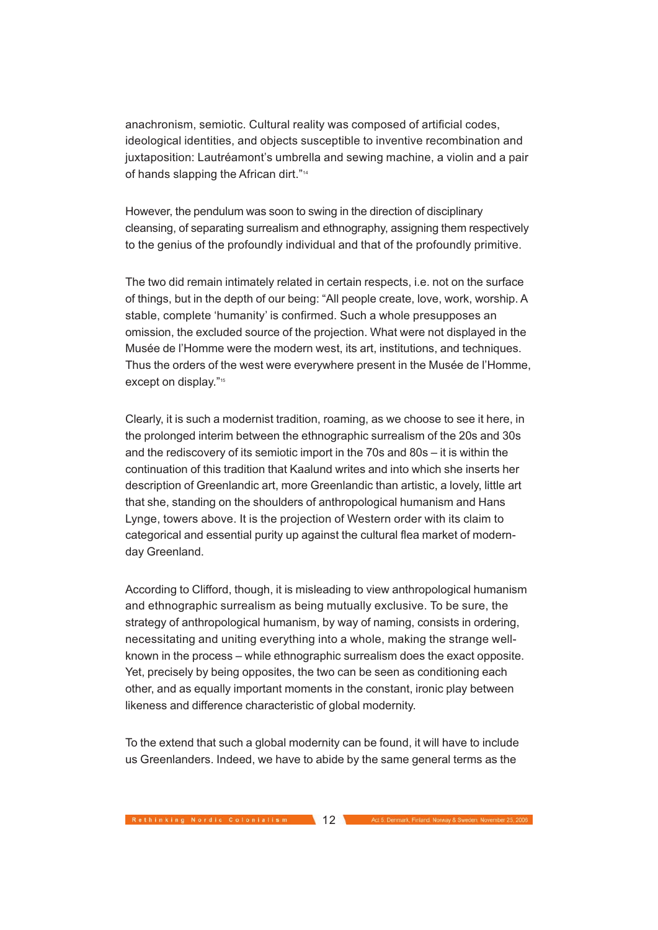anachronism, semiotic. Cultural reality was composed of artificial codes, ideological identities, and objects susceptible to inventive recombination and juxtaposition: Lautréamont's umbrella and sewing machine, a violin and a pair of hands slapping the African dirt."<sup>14</sup>

However, the pendulum was soon to swing in the direction of disciplinary cleansing, of separating surrealism and ethnography, assigning them respectively to the genius of the profoundly individual and that of the profoundly primitive.

The two did remain intimately related in certain respects, i.e. not on the surface of things, but in the depth of our being: "All people create, love, work, worship. A stable, complete 'humanity' is confirmed. Such a whole presupposes an omission, the excluded source of the projection. What were not displayed in the Musée de l'Homme were the modern west, its art, institutions, and techniques. Thus the orders of the west were everywhere present in the Musée de l'Homme, except on display."<sup>15</sup>

Clearly, it is such a modernist tradition, roaming, as we choose to see it here, in the prolonged interim between the ethnographic surrealism of the 20s and 30s and the rediscovery of its semiotic import in the 70s and 80s – it is within the continuation of this tradition that Kaalund writes and into which she inserts her description of Greenlandic art, more Greenlandic than artistic, a lovely, little art that she, standing on the shoulders of anthropological humanism and Hans Lynge, towers above. It is the projection of Western order with its claim to categorical and essential purity up against the cultural flea market of modernday Greenland.

According to Clifford, though, it is misleading to view anthropological humanism and ethnographic surrealism as being mutually exclusive. To be sure, the strategy of anthropological humanism, by way of naming, consists in ordering, necessitating and uniting everything into a whole, making the strange wellknown in the process – while ethnographic surrealism does the exact opposite. Yet, precisely by being opposites, the two can be seen as conditioning each other, and as equally important moments in the constant, ironic play between likeness and difference characteristic of global modernity.

To the extend that such a global modernity can be found, it will have to include us Greenlanders. Indeed, we have to abide by the same general terms as the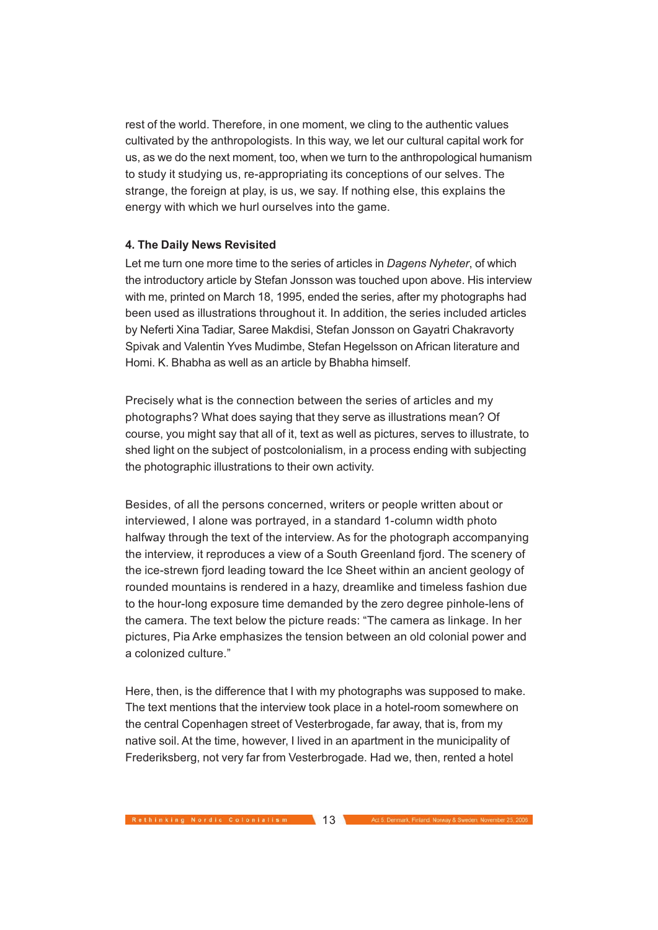rest of the world. Therefore, in one moment, we cling to the authentic values cultivated by the anthropologists. In this way, we let our cultural capital work for us, as we do the next moment, too, when we turn to the anthropological humanism to study it studying us, re-appropriating its conceptions of our selves. The strange, the foreign at play, is us, we say. If nothing else, this explains the energy with which we hurl ourselves into the game.

## **4. The Daily News Revisited**

Let me turn one more time to the series of articles in *Dagens Nyheter*, of which the introductory article by Stefan Jonsson was touched upon above. His interview with me, printed on March 18, 1995, ended the series, after my photographs had been used as illustrations throughout it. In addition, the series included articles by Neferti Xina Tadiar, Saree Makdisi, Stefan Jonsson on Gayatri Chakravorty Spivak and Valentin Yves Mudimbe, Stefan Hegelsson on African literature and Homi. K. Bhabha as well as an article by Bhabha himself.

Precisely what is the connection between the series of articles and my photographs? What does saying that they serve as illustrations mean? Of course, you might say that all of it, text as well as pictures, serves to illustrate, to shed light on the subject of postcolonialism, in a process ending with subjecting the photographic illustrations to their own activity.

Besides, of all the persons concerned, writers or people written about or interviewed, I alone was portrayed, in a standard 1-column width photo halfway through the text of the interview. As for the photograph accompanying the interview, it reproduces a view of a South Greenland fjord. The scenery of the ice-strewn fjord leading toward the Ice Sheet within an ancient geology of rounded mountains is rendered in a hazy, dreamlike and timeless fashion due to the hour-long exposure time demanded by the zero degree pinhole-lens of the camera. The text below the picture reads: "The camera as linkage. In her pictures, Pia Arke emphasizes the tension between an old colonial power and a colonized culture."

Here, then, is the difference that I with my photographs was supposed to make. The text mentions that the interview took place in a hotel-room somewhere on the central Copenhagen street of Vesterbrogade, far away, that is, from my native soil. At the time, however, I lived in an apartment in the municipality of Frederiksberg, not very far from Vesterbrogade. Had we, then, rented a hotel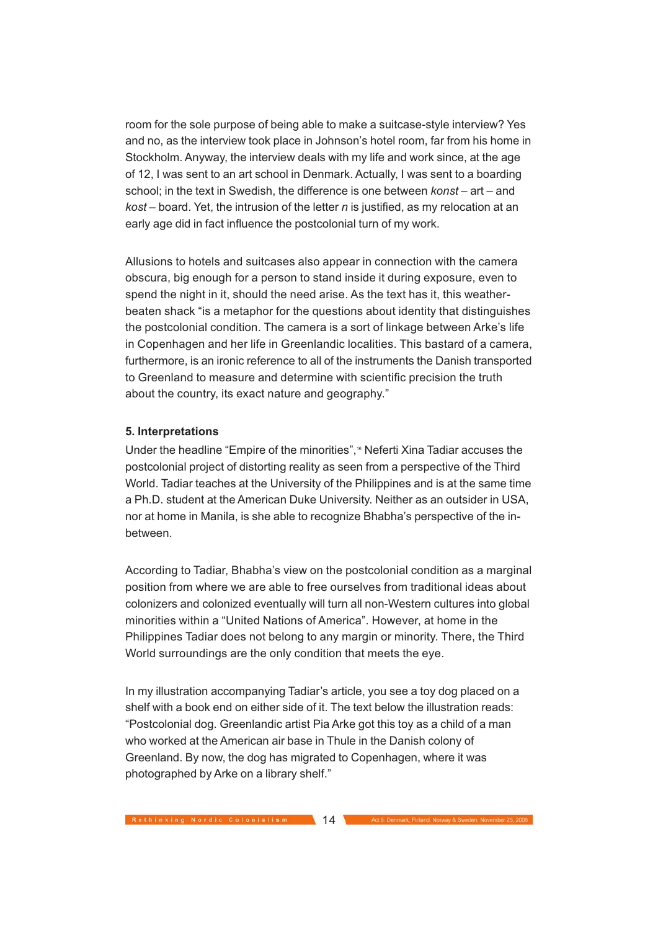room for the sole purpose of being able to make a suitcase-style interview? Yes and no, as the interview took place in Johnson's hotel room, far from his home in Stockholm. Anyway, the interview deals with my life and work since, at the age of 12, I was sent to an art school in Denmark. Actually, I was sent to a boarding school; in the text in Swedish, the difference is one between konst – art – and  $kost$  – board. Yet, the intrusion of the letter n is justified, as my relocation at an early age did in fact influence the postcolonial turn of my work.

Allusions to hotels and suitcases also appear in connection with the camera obscura, big enough for a person to stand inside it during exposure, even to spend the night in it, should the need arise. As the text has it, this weatherbeaten shack "is a metaphor for the questions about identity that distinguishes the postcolonial condition. The camera is a sort of linkage between Arke's life in Copenhagen and her life in Greenlandic localities. This bastard of a camera, furthermore, is an ironic reference to all of the instruments the Danish transported to Greenland to measure and determine with scientific precision the truth about the country, its exact nature and geography."

# **5. Interpretations**

Under the headline "Empire of the minorities",<sup>16</sup> Neferti Xina Tadiar accuses the postcolonial project of distorting reality as seen from a perspective of the Third World. Tadiar teaches at the University of the Philippines and is at the same time a Ph.D. student at the American Duke University. Neither as an outsider in USA, nor at home in Manila, is she able to recognize Bhabha's perspective of the inbetween.

According to Tadiar, Bhabha's view on the postcolonial condition as a marginal position from where we are able to free ourselves from traditional ideas about colonizers and colonized eventually will turn all non-Western cultures into global minorities within a "United Nations of America". However, at home in the Philippines Tadiar does not belong to any margin or minority. There, the Third World surroundings are the only condition that meets the eye.

In my illustration accompanying Tadiar's article, you see a toy dog placed on a shelf with a book end on either side of it. The text below the illustration reads: "Postcolonial dog. Greenlandic artist Pia Arke got this toy as a child of a man who worked at the American air base in Thule in the Danish colony of Greenland. By now, the dog has migrated to Copenhagen, where it was photographed by Arke on a library shelf."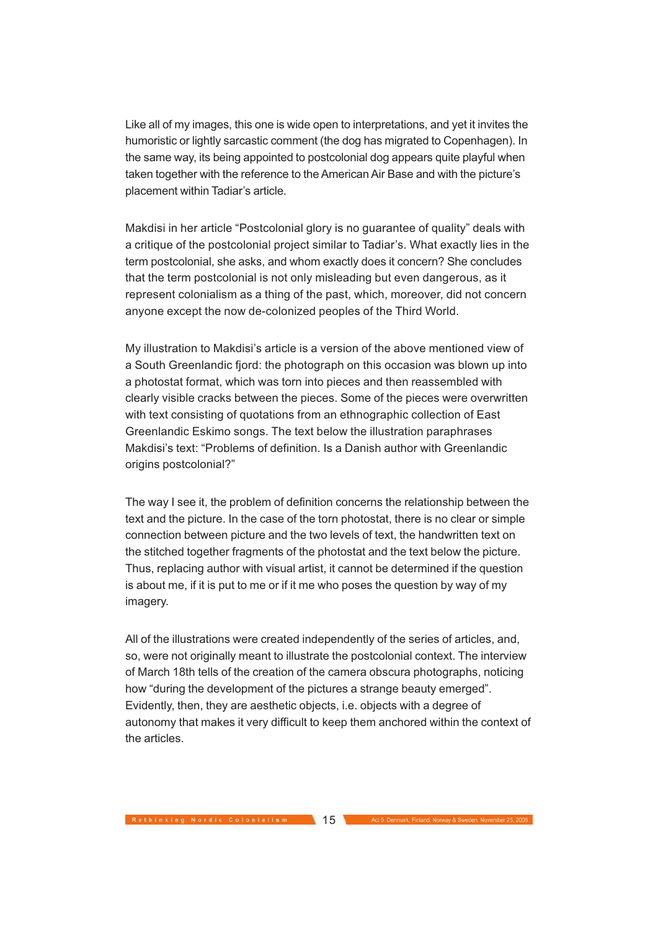Like all of my images, this one is wide open to interpretations, and yet it invites the humoristic or lightly sarcastic comment (the dog has migrated to Copenhagen). In the same way, its being appointed to postcolonial dog appears quite playful when taken together with the reference to the American Air Base and with the picture's placement within Tadiar's article.

Makdisi in her article "Postcolonial glory is no guarantee of quality" deals with a critique of the postcolonial project similar to Tadiar's. What exactly lies in the term postcolonial, she asks, and whom exactly does it concern? She concludes that the term postcolonial is not only misleading but even dangerous, as it represent colonialism as a thing of the past, which, moreover, did not concern anyone except the now de-colonized peoples of the Third World.

My illustration to Makdisi's article is a version of the above mentioned view of a South Greenlandic fjord: the photograph on this occasion was blown up into a photostat format, which was torn into pieces and then reassembled with clearly visible cracks between the pieces. Some of the pieces were overwritten with text consisting of quotations from an ethnographic collection of East Greenlandic Eskimo songs. The text below the illustration paraphrases Makdisi's text: "Problems of definition. Is a Danish author with Greenlandic origins postcolonial?"

The way I see it, the problem of definition concerns the relationship between the text and the picture. In the case of the torn photostat, there is no clear or simple connection between picture and the two levels of text, the handwritten text on the stitched together fragments of the photostat and the text below the picture. Thus, replacing author with visual artist, it cannot be determined if the question is about me, if it is put to me or if it me who poses the question by way of my imagery.

All of the illustrations were created independently of the series of articles, and, so, were not originally meant to illustrate the postcolonial context. The interview of March 18th tells of the creation of the camera obscura photographs, noticing how "during the development of the pictures a strange beauty emerged". Evidently, then, they are aesthetic objects, i.e. objects with a degree of autonomy that makes it very difficult to keep them anchored within the context of the articles.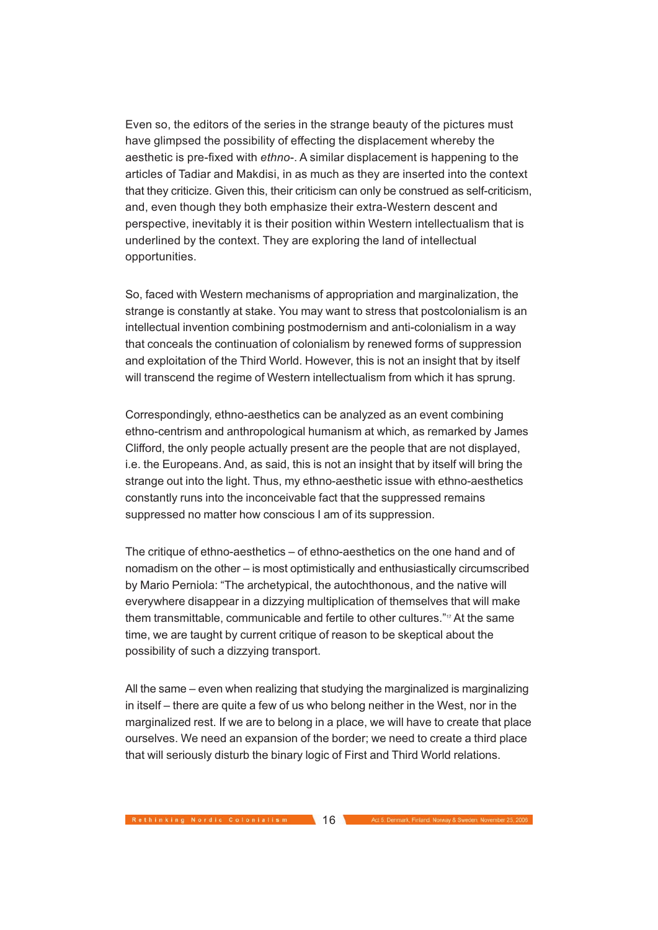Even so, the editors of the series in the strange beauty of the pictures must have glimpsed the possibility of effecting the displacement whereby the aesthetic is pre-fixed with ethno-. A similar displacement is happening to the articles of Tadiar and Makdisi, in as much as they are inserted into the context that they criticize. Given this, their criticism can only be construed as self-criticism, and, even though they both emphasize their extra-Western descent and perspective, inevitably it is their position within Western intellectualism that is underlined by the context. They are exploring the land of intellectual opportunities.

So, faced with Western mechanisms of appropriation and marginalization, the strange is constantly at stake. You may want to stress that postcolonialism is an intellectual invention combining postmodernism and anti-colonialism in a way that conceals the continuation of colonialism by renewed forms of suppression and exploitation of the Third World. However, this is not an insight that by itself will transcend the regime of Western intellectualism from which it has sprung.

Correspondingly, ethno-aesthetics can be analyzed as an event combining ethno-centrism and anthropological humanism at which, as remarked by James Clifford, the only people actually present are the people that are not displayed, i.e. the Europeans. And, as said, this is not an insight that by itself will bring the strange out into the light. Thus, my ethno-aesthetic issue with ethno-aesthetics constantly runs into the inconceivable fact that the suppressed remains suppressed no matter how conscious I am of its suppression.

The critique of ethno-aesthetics – of ethno-aesthetics on the one hand and of nomadism on the other – is most optimistically and enthusiastically circumscribed by Mario Perniola: "The archetypical, the autochthonous, and the native will everywhere disappear in a dizzying multiplication of themselves that will make them transmittable, communicable and fertile to other cultures."17 At the same time, we are taught by current critique of reason to be skeptical about the possibility of such a dizzying transport.

All the same – even when realizing that studying the marginalized is marginalizing in itself – there are quite a few of us who belong neither in the West, nor in the marginalized rest. If we are to belong in a place, we will have to create that place ourselves. We need an expansion of the border; we need to create a third place that will seriously disturb the binary logic of First and Third World relations.